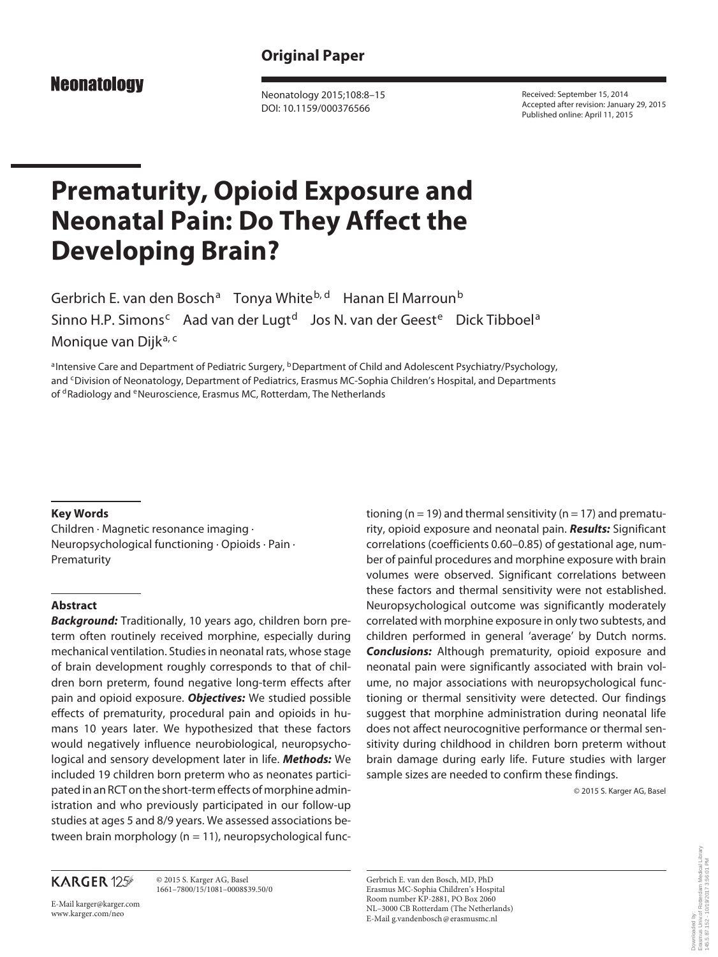# **Original Paper**

**Neonatology** 

 Neonatology 2015;108:8–15 DOI: 10.1159/000376566

 Received: September 15, 2014 Accepted after revision: January 29, 2015 Published online: April 11, 2015

# **Prematurity, Opioid Exposure and Neonatal Pain: Do They Affect the Developing Brain?**

Gerbrich E. van den Bosch<sup>a</sup> Tonya White<sup>b, d</sup> Hanan El Marroun<sup>b</sup> Sinno H.P. Simons<sup>c</sup> Aad van der Lugt<sup>d</sup> Jos N. van der Geest<sup>e</sup> Dick Tibboel<sup>a</sup> Monique van Dijka, c

a Intensive Care and Department of Pediatric Surgery, <sup>b</sup> Department of Child and Adolescent Psychiatry/Psychology, and <sup>c</sup> Division of Neonatology, Department of Pediatrics, Erasmus MC-Sophia Children's Hospital, and Departments of <sup>d</sup> Radiology and <sup>e</sup> Neuroscience, Erasmus MC, Rotterdam, The Netherlands

#### **Key Words**

 Children · Magnetic resonance imaging · Neuropsychological functioning · Opioids · Pain · Prematurity

## **Abstract**

*Background:* Traditionally, 10 years ago, children born preterm often routinely received morphine, especially during mechanical ventilation. Studies in neonatal rats, whose stage of brain development roughly corresponds to that of children born preterm, found negative long-term effects after pain and opioid exposure. *Objectives:* We studied possible effects of prematurity, procedural pain and opioids in humans 10 years later. We hypothesized that these factors would negatively influence neurobiological, neuropsychological and sensory development later in life. *Methods:* We included 19 children born preterm who as neonates participated in an RCT on the short-term effects of morphine administration and who previously participated in our follow-up studies at ages 5 and 8/9 years. We assessed associations between brain morphology (n = 11), neuropsychological func-

# **KARGER 125**

 © 2015 S. Karger AG, Basel 1661–7800/15/1081–0008\$39.50/0

E-Mail karger@karger.com www.karger.com/neo

tioning ( $n = 19$ ) and thermal sensitivity ( $n = 17$ ) and prematurity, opioid exposure and neonatal pain. *Results:* Significant correlations (coefficients 0.60–0.85) of gestational age, number of painful procedures and morphine exposure with brain volumes were observed. Significant correlations between these factors and thermal sensitivity were not established. Neuropsychological outcome was significantly moderately correlated with morphine exposure in only two subtests, and children performed in general 'average' by Dutch norms. *Conclusions:* Although prematurity, opioid exposure and neonatal pain were significantly associated with brain volume, no major associations with neuropsychological functioning or thermal sensitivity were detected. Our findings suggest that morphine administration during neonatal life does not affect neurocognitive performance or thermal sensitivity during childhood in children born preterm without brain damage during early life. Future studies with larger sample sizes are needed to confirm these findings.

© 2015 S. Karger AG, Basel

 Gerbrich E. van den Bosch, MD, PhD Erasmus MC-Sophia Children's Hospital Room number KP-2881, PO Box 2060 NL–3000 CB Rotterdam (The Netherlands) E-Mail g.vandenbosch @ erasmusmc.nl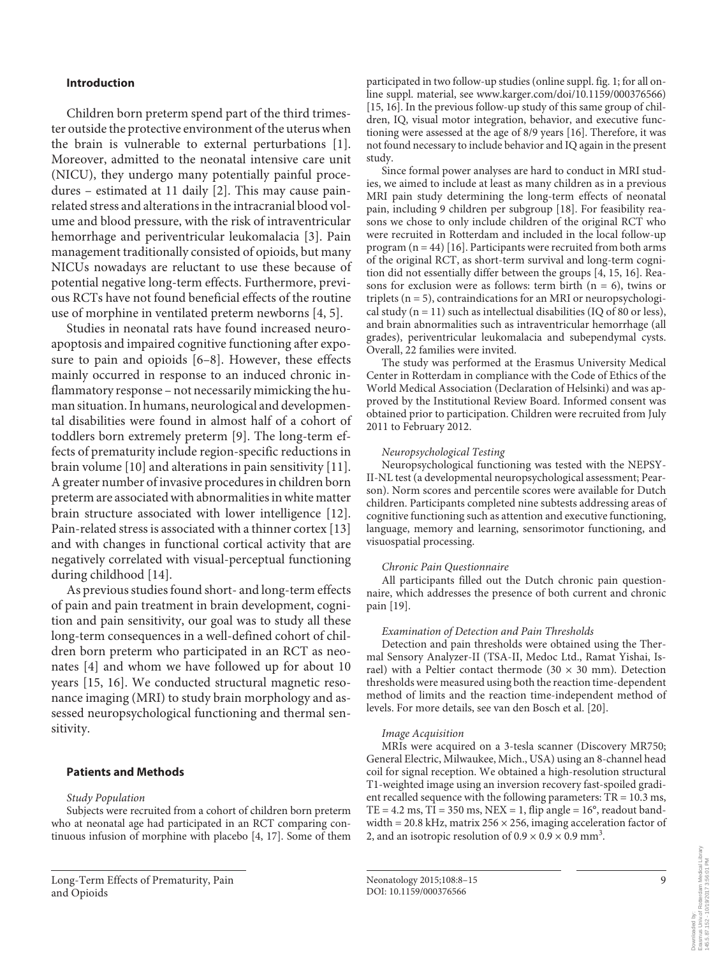## **Introduction**

 Children born preterm spend part of the third trimester outside the protective environment of the uterus when the brain is vulnerable to external perturbations [1]. Moreover, admitted to the neonatal intensive care unit (NICU), they undergo many potentially painful procedures – estimated at 11 daily  $[2]$ . This may cause painrelated stress and alterations in the intracranial blood volume and blood pressure, with the risk of intraventricular hemorrhage and periventricular leukomalacia [3]. Pain management traditionally consisted of opioids, but many NICUs nowadays are reluctant to use these because of potential negative long-term effects. Furthermore, previous RCTs have not found beneficial effects of the routine use of morphine in ventilated preterm newborns [4, 5] .

 Studies in neonatal rats have found increased neuroapoptosis and impaired cognitive functioning after exposure to pain and opioids  $[6-8]$ . However, these effects mainly occurred in response to an induced chronic inflammatory response – not necessarily mimicking the human situation. In humans, neurological and developmental disabilities were found in almost half of a cohort of toddlers born extremely preterm [9]. The long-term effects of prematurity include region-specific reductions in brain volume [10] and alterations in pain sensitivity [11] . A greater number of invasive procedures in children born preterm are associated with abnormalities in white matter brain structure associated with lower intelligence [12] . Pain-related stress is associated with a thinner cortex [13] and with changes in functional cortical activity that are negatively correlated with visual-perceptual functioning during childhood [14].

 As previous studies found short- and long-term effects of pain and pain treatment in brain development, cognition and pain sensitivity, our goal was to study all these long-term consequences in a well-defined cohort of children born preterm who participated in an RCT as neonates [4] and whom we have followed up for about 10 years [15, 16]. We conducted structural magnetic resonance imaging (MRI) to study brain morphology and assessed neuropsychological functioning and thermal sensitivity.

## **Patients and Methods**

#### *Study Population*

 Subjects were recruited from a cohort of children born preterm who at neonatal age had participated in an RCT comparing continuous infusion of morphine with placebo [4, 17] . Some of them

participated in two follow-up studies (online suppl. fig. 1; for all online suppl. material, see www.karger.com/doi/10.1159/000376566) [15, 16]. In the previous follow-up study of this same group of children, IQ, visual motor integration, behavior, and executive functioning were assessed at the age of 8/9 years [16] . Therefore, it was not found necessary to include behavior and IQ again in the present study.

 Since formal power analyses are hard to conduct in MRI studies, we aimed to include at least as many children as in a previous MRI pain study determining the long-term effects of neonatal pain, including 9 children per subgroup [18]. For feasibility reasons we chose to only include children of the original RCT who were recruited in Rotterdam and included in the local follow-up program  $(n = 44)$  [16]. Participants were recruited from both arms of the original RCT, as short-term survival and long-term cognition did not essentially differ between the groups [4, 15, 16]. Reasons for exclusion were as follows: term birth  $(n = 6)$ , twins or triplets ( $n = 5$ ), contraindications for an MRI or neuropsychological study ( $n = 11$ ) such as intellectual disabilities (IQ of 80 or less), and brain abnormalities such as intraventricular hemorrhage (all grades), periventricular leukomalacia and subependymal cysts. Overall, 22 families were invited.

 The study was performed at the Erasmus University Medical Center in Rotterdam in compliance with the Code of Ethics of the World Medical Association (Declaration of Helsinki) and was approved by the Institutional Review Board. Informed consent was obtained prior to participation. Children were recruited from July 2011 to February 2012.

#### *Neuropsychological Testing*

 Neuropsychological functioning was tested with the NEPSY-II-NL test (a developmental neuropsychological assessment; Pearson). Norm scores and percentile scores were available for Dutch children. Participants completed nine subtests addressing areas of cognitive functioning such as attention and executive functioning, language, memory and learning, sensorimotor functioning, and visuospatial processing.

#### *Chronic Pain Questionnaire*

 All participants filled out the Dutch chronic pain questionnaire, which addresses the presence of both current and chronic pain [19].

#### *Examination of Detection and Pain Thresholds*

 Detection and pain thresholds were obtained using the Thermal Sensory Analyzer-II (TSA-II, Medoc Ltd., Ramat Yishai, Israel) with a Peltier contact thermode (30  $\times$  30 mm). Detection thresholds were measured using both the reaction time-dependent method of limits and the reaction time-independent method of levels. For more details, see van den Bosch et al. [20] .

#### *Image Acquisition*

 MRIs were acquired on a 3-tesla scanner (Discovery MR750; General Electric, Milwaukee, Mich., USA) using an 8-channel head coil for signal reception. We obtained a high-resolution structural T1-weighted image using an inversion recovery fast-spoiled gradient recalled sequence with the following parameters: TR = 10.3 ms, TE =  $4.2$  ms, TI =  $350$  ms, NEX = 1, flip angle =  $16^{\circ}$ , readout bandwidth =  $20.8$  kHz, matrix  $256 \times 256$ , imaging acceleration factor of 2, and an isotropic resolution of  $0.9 \times 0.9 \times 0.9$  mm<sup>3</sup>.

145.5.87.152 - 10/19/2017 3:56:01 PM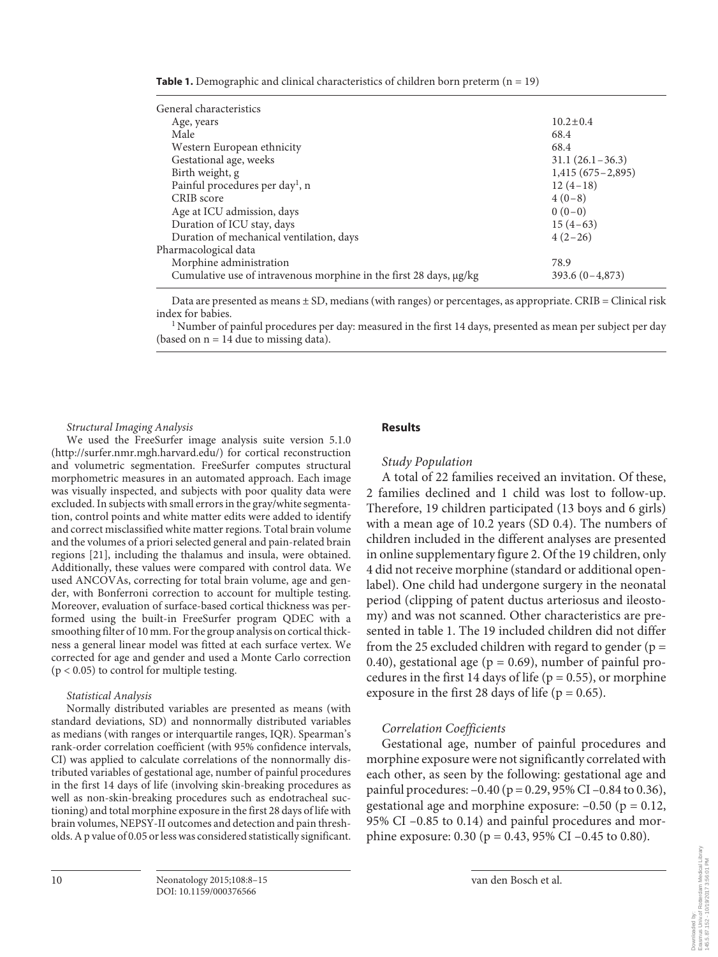| <b>Table 1.</b> Demographic and clinical characteristics of children born preterm $(n = 19)$ |  |  |
|----------------------------------------------------------------------------------------------|--|--|
|----------------------------------------------------------------------------------------------|--|--|

| General characteristics                                            |                    |
|--------------------------------------------------------------------|--------------------|
| Age, years                                                         | $10.2 \pm 0.4$     |
| Male                                                               | 68.4               |
| Western European ethnicity                                         | 68.4               |
| Gestational age, weeks                                             | $31.1(26.1-36.3)$  |
| Birth weight, g                                                    | $1,415(675-2,895)$ |
| Painful procedures per day <sup>1</sup> , n                        | $12(4-18)$         |
| CRIB score                                                         | $4(0-8)$           |
| Age at ICU admission, days                                         | $0(0-0)$           |
| Duration of ICU stay, days                                         | $15(4-63)$         |
| Duration of mechanical ventilation, days                           | $4(2-26)$          |
| Pharmacological data                                               |                    |
| Morphine administration                                            | 78.9               |
| Cumulative use of intravenous morphine in the first 28 days, µg/kg | $393.6(0-4,873)$   |

Data are presented as means  $\pm$  SD, medians (with ranges) or percentages, as appropriate. CRIB = Clinical risk index for babies.

<sup>1</sup> Number of painful procedures per day: measured in the first 14 days, presented as mean per subject per day (based on  $n = 14$  due to missing data).

 *Structural Imaging Analysis* 

 We used the FreeSurfer image analysis suite version 5.1.0 (http://surfer.nmr.mgh.harvard.edu/) for cortical reconstruction and volumetric segmentation. FreeSurfer computes structural morphometric measures in an automated approach. Each image was visually inspected, and subjects with poor quality data were excluded. In subjects with small errors in the gray/white segmentation, control points and white matter edits were added to identify and correct misclassified white matter regions. Total brain volume and the volumes of a priori selected general and pain-related brain regions [21], including the thalamus and insula, were obtained. Additionally, these values were compared with control data. We used ANCOVAs, correcting for total brain volume, age and gender, with Bonferroni correction to account for multiple testing. Moreover, evaluation of surface-based cortical thickness was performed using the built-in FreeSurfer program QDEC with a smoothing filter of 10 mm. For the group analysis on cortical thickness a general linear model was fitted at each surface vertex. We corrected for age and gender and used a Monte Carlo correction  $(p < 0.05)$  to control for multiple testing.

#### *Statistical Analysis*

 Normally distributed variables are presented as means (with standard deviations, SD) and nonnormally distributed variables as medians (with ranges or interquartile ranges, IQR). Spearman's rank-order correlation coefficient (with 95% confidence intervals, CI) was applied to calculate correlations of the nonnormally distributed variables of gestational age, number of painful procedures in the first 14 days of life (involving skin-breaking procedures as well as non-skin-breaking procedures such as endotracheal suctioning) and total morphine exposure in the first 28 days of life with brain volumes, NEPSY-II outcomes and detection and pain thresholds. A p value of 0.05 or less was considered statistically significant.

## **Results**

## *Study Population*

 A total of 22 families received an invitation. Of these, 2 families declined and 1 child was lost to follow-up. Therefore, 19 children participated (13 boys and 6 girls) with a mean age of 10.2 years (SD 0.4). The numbers of children included in the different analyses are presented in online supplementary figure 2. Of the 19 children, only 4 did not receive morphine (standard or additional openlabel). One child had undergone surgery in the neonatal period (clipping of patent ductus arteriosus and ileostomy) and was not scanned. Other characteristics are presented in table 1. The 19 included children did not differ from the 25 excluded children with regard to gender ( $p =$ 0.40), gestational age ( $p = 0.69$ ), number of painful procedures in the first 14 days of life ( $p = 0.55$ ), or morphine exposure in the first 28 days of life ( $p = 0.65$ ).

## *Correlation Coefficients*

 Gestational age, number of painful procedures and morphine exposure were not significantly correlated with each other, as seen by the following: gestational age and painful procedures:  $-0.40$  (p = 0.29, 95% CI  $-0.84$  to 0.36), gestational age and morphine exposure:  $-0.50$  ( $p = 0.12$ , 95% CI –0.85 to 0.14) and painful procedures and morphine exposure: 0.30 ( $p = 0.43$ , 95% CI –0.45 to 0.80).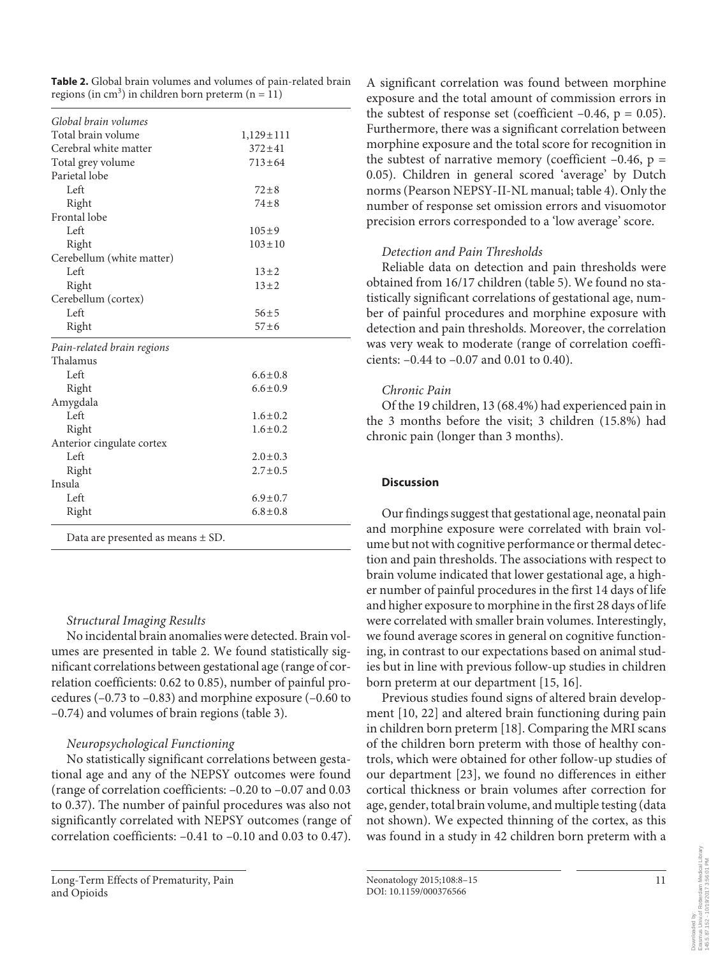**Table 2.** Global brain volumes and volumes of pain-related brain regions (in cm<sup>3</sup>) in children born preterm (n =  $11$ )

| Global brain volumes                  |                 |  |  |
|---------------------------------------|-----------------|--|--|
| Total brain volume                    | $1,129 \pm 111$ |  |  |
| Cerebral white matter                 | $372 + 41$      |  |  |
| Total grey volume                     | $713 \pm 64$    |  |  |
| Parietal lobe                         |                 |  |  |
| Left                                  | $72 + 8$        |  |  |
| Right                                 | $74 + 8$        |  |  |
| Frontal lobe                          |                 |  |  |
| Left                                  | $105 + 9$       |  |  |
| Right                                 | $103 \pm 10$    |  |  |
| Cerebellum (white matter)             |                 |  |  |
| Left                                  | $13 + 2$        |  |  |
| Right                                 | $13 \pm 2$      |  |  |
| Cerebellum (cortex)                   |                 |  |  |
| Left                                  | $56 + 5$        |  |  |
| Right                                 | $57 + 6$        |  |  |
| Pain-related brain regions            |                 |  |  |
| Thalamus                              |                 |  |  |
| Left                                  | $6.6 \pm 0.8$   |  |  |
| Right                                 | $6.6 \pm 0.9$   |  |  |
| Amygdala                              |                 |  |  |
| Left                                  | $1.6 \pm 0.2$   |  |  |
| Right                                 | $1.6 \pm 0.2$   |  |  |
| Anterior cingulate cortex             |                 |  |  |
| Left                                  | $2.0 \pm 0.3$   |  |  |
| Right                                 | $2.7 \pm 0.5$   |  |  |
| Insula                                |                 |  |  |
| Left                                  | $6.9 \pm 0.7$   |  |  |
| Right                                 | $6.8 \pm 0.8$   |  |  |
| Data are presented as means $\pm$ SD. |                 |  |  |

# *Structural Imaging Results*

 No incidental brain anomalies were detected. Brain volumes are presented in table 2. We found statistically significant correlations between gestational age (range of correlation coefficients: 0.62 to 0.85), number of painful procedures (–0.73 to –0.83) and morphine exposure (–0.60 to  $-0.74$ ) and volumes of brain regions (table 3).

# *Neuropsychological Functioning*

 No statistically significant correlations between gestational age and any of the NEPSY outcomes were found (range of correlation coefficients: –0.20 to –0.07 and 0.03 to 0.37). The number of painful procedures was also not significantly correlated with NEPSY outcomes (range of correlation coefficients: –0.41 to –0.10 and 0.03 to 0.47).

A significant correlation was found between morphine exposure and the total amount of commission errors in the subtest of response set (coefficient  $-0.46$ ,  $p = 0.05$ ). Furthermore, there was a significant correlation between morphine exposure and the total score for recognition in the subtest of narrative memory (coefficient  $-0.46$ ,  $p =$ 0.05). Children in general scored 'average' by Dutch norms (Pearson NEPSY-II-NL manual; table 4). Only the number of response set omission errors and visuomotor precision errors corresponded to a 'low average' score.

# *Detection and Pain Thresholds*

 Reliable data on detection and pain thresholds were obtained from 16/17 children (table 5). We found no statistically significant correlations of gestational age, number of painful procedures and morphine exposure with detection and pain thresholds. Moreover, the correlation was very weak to moderate (range of correlation coefficients: –0.44 to –0.07 and 0.01 to 0.40).

# *Chronic Pain*

 Of the 19 children, 13 (68.4%) had experienced pain in the 3 months before the visit; 3 children (15.8%) had chronic pain (longer than 3 months).

# **Discussion**

 Our findings suggest that gestational age, neonatal pain and morphine exposure were correlated with brain volume but not with cognitive performance or thermal detection and pain thresholds. The associations with respect to brain volume indicated that lower gestational age, a higher number of painful procedures in the first 14 days of life and higher exposure to morphine in the first 28 days of life were correlated with smaller brain volumes. Interestingly, we found average scores in general on cognitive functioning, in contrast to our expectations based on animal studies but in line with previous follow-up studies in children born preterm at our department [15, 16].

 Previous studies found signs of altered brain development [10, 22] and altered brain functioning during pain in children born preterm [18] . Comparing the MRI scans of the children born preterm with those of healthy controls, which were obtained for other follow-up studies of our department [23], we found no differences in either cortical thickness or brain volumes after correction for age, gender, total brain volume, and multiple testing (data not shown). We expected thinning of the cortex, as this was found in a study in 42 children born preterm with a

Downloaded by:

Erasmus Univ.of Rotterdam Medical Library 145.5.87.152 - 10/19/2017 3:56:01 PM

of Rotterdam Medical Library<br>10/19/2017 3:56:01 PM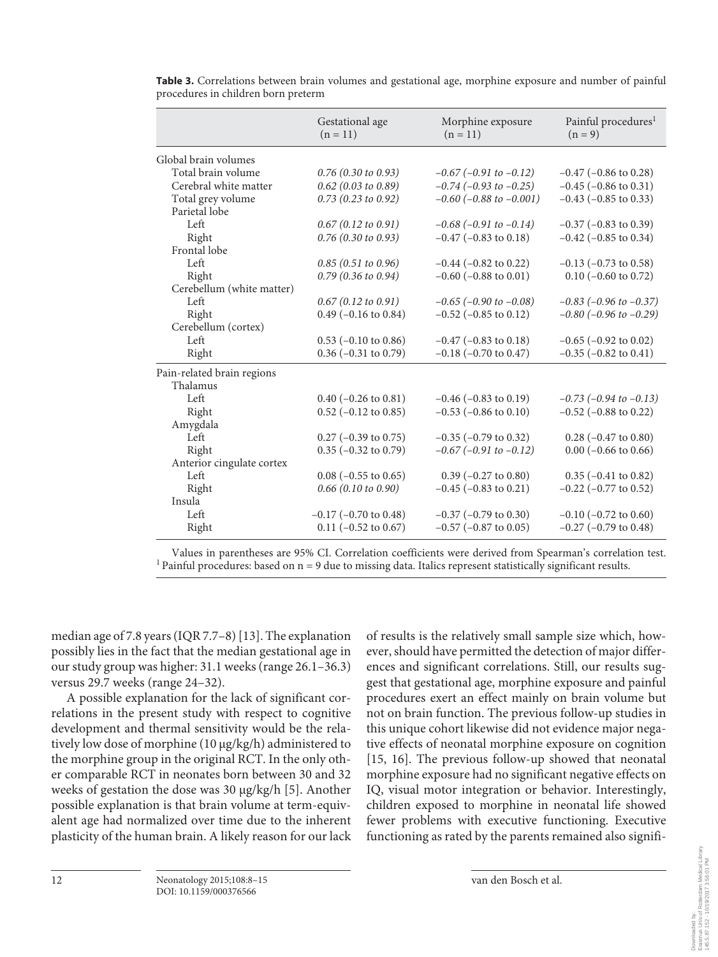|                            | Gestational age<br>$(n = 11)$ | Morphine exposure<br>$(n = 11)$ | Painful procedures <sup>1</sup><br>$(n = 9)$ |
|----------------------------|-------------------------------|---------------------------------|----------------------------------------------|
| Global brain volumes       |                               |                                 |                                              |
| Total brain volume         | $0.76$ (0.30 to 0.93)         | $-0.67$ ( $-0.91$ to $-0.12$ )  | $-0.47$ ( $-0.86$ to 0.28)                   |
| Cerebral white matter      | $0.62$ (0.03 to 0.89)         | $-0.74$ ( $-0.93$ to $-0.25$ )  | $-0.45$ ( $-0.86$ to 0.31)                   |
| Total grey volume          | $0.73$ (0.23 to 0.92)         | $-0.60$ ( $-0.88$ to $-0.001$ ) | $-0.43$ ( $-0.85$ to 0.33)                   |
| Parietal lobe              |                               |                                 |                                              |
| Left                       | 0.67(0.12 to 0.91)            | $-0.68$ ( $-0.91$ to $-0.14$ )  | $-0.37$ ( $-0.83$ to 0.39)                   |
| Right                      | $0.76$ (0.30 to 0.93)         | $-0.47$ ( $-0.83$ to $0.18$ )   | $-0.42$ ( $-0.85$ to 0.34)                   |
| Frontal lobe               |                               |                                 |                                              |
| Left                       | $0.85$ (0.51 to 0.96)         | $-0.44$ ( $-0.82$ to 0.22)      | $-0.13$ ( $-0.73$ to 0.58)                   |
| Right                      | $0.79$ (0.36 to 0.94)         | $-0.60$ ( $-0.88$ to 0.01)      | $0.10$ (-0.60 to 0.72)                       |
| Cerebellum (white matter)  |                               |                                 |                                              |
| Left                       | 0.67(0.12 to 0.91)            | $-0.65$ ( $-0.90$ to $-0.08$ )  | $-0.83$ ( $-0.96$ to $-0.37$ )               |
| Right                      | $0.49$ (-0.16 to 0.84)        | $-0.52$ ( $-0.85$ to 0.12)      | $-0.80$ ( $-0.96$ to $-0.29$ )               |
| Cerebellum (cortex)        |                               |                                 |                                              |
| Left                       | $0.53$ (-0.10 to 0.86)        | $-0.47$ ( $-0.83$ to 0.18)      | $-0.65$ ( $-0.92$ to 0.02)                   |
| Right                      | $0.36$ (-0.31 to 0.79)        | $-0.18$ ( $-0.70$ to 0.47)      | $-0.35$ ( $-0.82$ to $0.41$ )                |
| Pain-related brain regions |                               |                                 |                                              |
| Thalamus                   |                               |                                 |                                              |
| Left                       | $0.40$ (-0.26 to 0.81)        | $-0.46$ ( $-0.83$ to $0.19$ )   | $-0.73$ ( $-0.94$ to $-0.13$ )               |
| Right                      | $0.52$ (-0.12 to 0.85)        | $-0.53$ ( $-0.86$ to $0.10$ )   | $-0.52$ ( $-0.88$ to 0.22)                   |
| Amygdala                   |                               |                                 |                                              |
| Left                       | $0.27$ (-0.39 to 0.75)        | $-0.35$ ( $-0.79$ to 0.32)      | $0.28$ (-0.47 to 0.80)                       |
| Right                      | $0.35$ (-0.32 to 0.79)        | $-0.67$ ( $-0.91$ to $-0.12$ )  | $0.00$ (-0.66 to 0.66)                       |
| Anterior cingulate cortex  |                               |                                 |                                              |
| Left                       | $0.08$ (-0.55 to 0.65)        | $0.39$ (-0.27 to 0.80)          | $0.35$ ( $-0.41$ to $0.82$ )                 |
| Right                      | $0.66$ (0.10 to 0.90)         | $-0.45$ ( $-0.83$ to 0.21)      | $-0.22$ ( $-0.77$ to 0.52)                   |
| Insula                     |                               |                                 |                                              |
| Left                       | $-0.17$ ( $-0.70$ to 0.48)    | $-0.37$ ( $-0.79$ to 0.30)      | $-0.10$ ( $-0.72$ to $0.60$ )                |
| Right                      | $0.11$ (-0.52 to 0.67)        | $-0.57$ ( $-0.87$ to 0.05)      | $-0.27$ ( $-0.79$ to 0.48)                   |

 **Table 3.** Correlations between brain volumes and gestational age, morphine exposure and number of painful procedures in children born preterm

Values in parentheses are 95% CI. Correlation coefficients were derived from Spearman's correlation test. 1 Painful procedures: based on n = 9 due to missing data. Italics represent statistically significant results.

median age of 7.8 years (IQR 7.7–8) [13] . The explanation possibly lies in the fact that the median gestational age in our study group was higher: 31.1 weeks (range 26.1–36.3) versus 29.7 weeks (range 24–32).

 A possible explanation for the lack of significant correlations in the present study with respect to cognitive development and thermal sensitivity would be the relatively low dose of morphine (10 μg/kg/h) administered to the morphine group in the original RCT. In the only other comparable RCT in neonates born between 30 and 32 weeks of gestation the dose was 30 μg/kg/h [5]. Another possible explanation is that brain volume at term-equivalent age had normalized over time due to the inherent plasticity of the human brain. A likely reason for our lack

of results is the relatively small sample size which, however, should have permitted the detection of major differences and significant correlations. Still, our results suggest that gestational age, morphine exposure and painful procedures exert an effect mainly on brain volume but not on brain function. The previous follow-up studies in this unique cohort likewise did not evidence major negative effects of neonatal morphine exposure on cognition [15, 16]. The previous follow-up showed that neonatal morphine exposure had no significant negative effects on IQ, visual motor integration or behavior. Interestingly, children exposed to morphine in neonatal life showed fewer problems with executive functioning. Executive functioning as rated by the parents remained also signifi-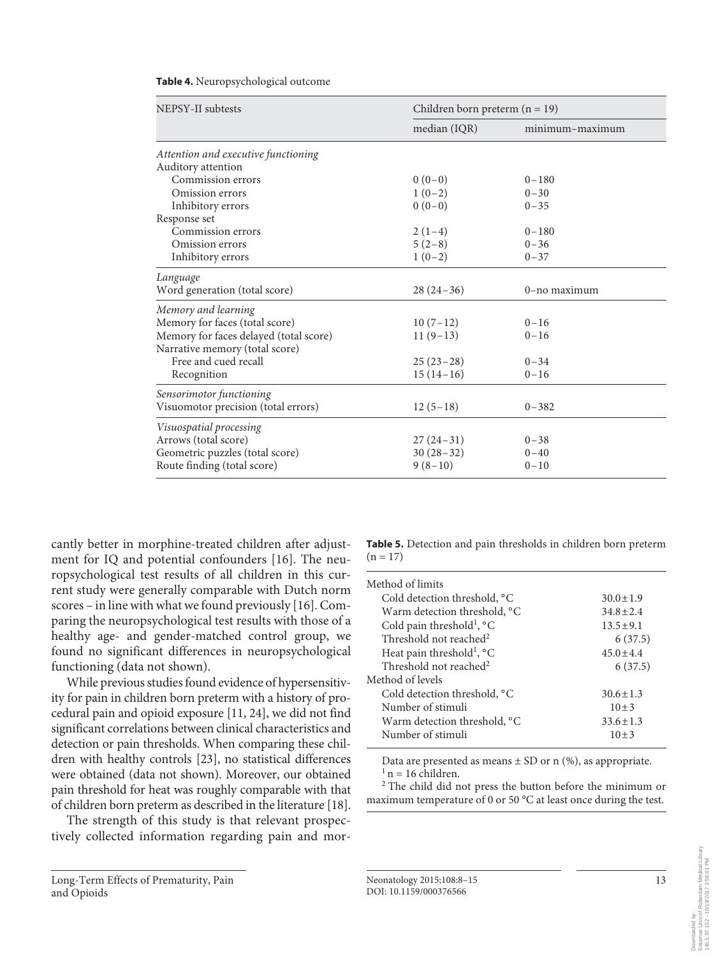| NEPSY-II subtests                      | Children born preterm $(n = 19)$ |                 |  |
|----------------------------------------|----------------------------------|-----------------|--|
|                                        | median (IQR)                     | minimum-maximum |  |
| Attention and executive functioning    |                                  |                 |  |
| Auditory attention                     |                                  |                 |  |
| Commission errors                      | $0(0-0)$                         | $0 - 180$       |  |
| Omission errors                        | $1(0-2)$                         | $0 - 30$        |  |
| Inhibitory errors                      | $0(0-0)$                         | $0 - 35$        |  |
| Response set                           |                                  |                 |  |
| Commission errors                      | $2(1-4)$                         | $0 - 180$       |  |
| Omission errors                        | $5(2-8)$                         | $0 - 36$        |  |
| Inhibitory errors                      | $1(0-2)$                         | $0 - 37$        |  |
| Language                               |                                  |                 |  |
| Word generation (total score)          | $28(24-36)$                      | 0-no maximum    |  |
| Memory and learning                    |                                  |                 |  |
| Memory for faces (total score)         | $10(7-12)$                       | $0 - 16$        |  |
| Memory for faces delayed (total score) | $11(9-13)$                       | $0 - 16$        |  |
| Narrative memory (total score)         |                                  |                 |  |
| Free and cued recall                   | $25(23-28)$                      | $0 - 34$        |  |
| Recognition                            | $15(14-16)$                      | $0 - 16$        |  |
| Sensorimotor functioning               |                                  |                 |  |
| Visuomotor precision (total errors)    | $12(5-18)$                       | $0 - 382$       |  |
| Visuospatial processing                |                                  |                 |  |
| Arrows (total score)                   | $27(24-31)$                      | $0 - 38$        |  |
| Geometric puzzles (total score)        | $30(28-32)$                      | $0 - 40$        |  |
| Route finding (total score)            | $9(8-10)$                        | $0 - 10$        |  |

#### **Table 4.** Neuropsychological outcome

cantly better in morphine-treated children after adjustment for IQ and potential confounders [16]. The neuropsychological test results of all children in this current study were generally comparable with Dutch norm scores – in line with what we found previously [16] . Comparing the neuropsychological test results with those of a healthy age- and gender-matched control group, we found no significant differences in neuropsychological functioning (data not shown).

 While previous studies found evidence of hypersensitivity for pain in children born preterm with a history of procedural pain and opioid exposure [11, 24] , we did not find significant correlations between clinical characteristics and detection or pain thresholds. When comparing these children with healthy controls [23], no statistical differences were obtained (data not shown). Moreover, our obtained pain threshold for heat was roughly comparable with that of children born preterm as described in the literature [18] .

 The strength of this study is that relevant prospectively collected information regarding pain and mor **Table 5.** Detection and pain thresholds in children born preterm  $(n = 17)$ 

| Method of limits                                |                |
|-------------------------------------------------|----------------|
| Cold detection threshold, °C                    | $30.0 \pm 1.9$ |
| Warm detection threshold, <sup>o</sup> C        | $34.8 + 2.4$   |
| Cold pain threshold <sup>1</sup> , °C           | $13.5 \pm 9.1$ |
| Threshold not reached <sup>2</sup>              | 6(37.5)        |
| Heat pain threshold <sup>1</sup> , $^{\circ}$ C | $45.0 \pm 4.4$ |
| Threshold not reached <sup>2</sup>              | 6(37.5)        |
| Method of levels                                |                |
| Cold detection threshold, °C                    | $30.6 \pm 1.3$ |
| Number of stimuli                               | $10 \pm 3$     |
| Warm detection threshold, <sup>o</sup> C        | $33.6 \pm 1.3$ |
| Number of stimuli                               | $10+3$         |
|                                                 |                |

Data are presented as means  $\pm$  SD or n (%), as appropriate.  $n = 16$  children.

 $^{\rm 2}$  The child did not press the button before the minimum or maximum temperature of 0 or 50 °C at least once during the test.

145.5.87.152 - 10/19/2017 3:56:01 PM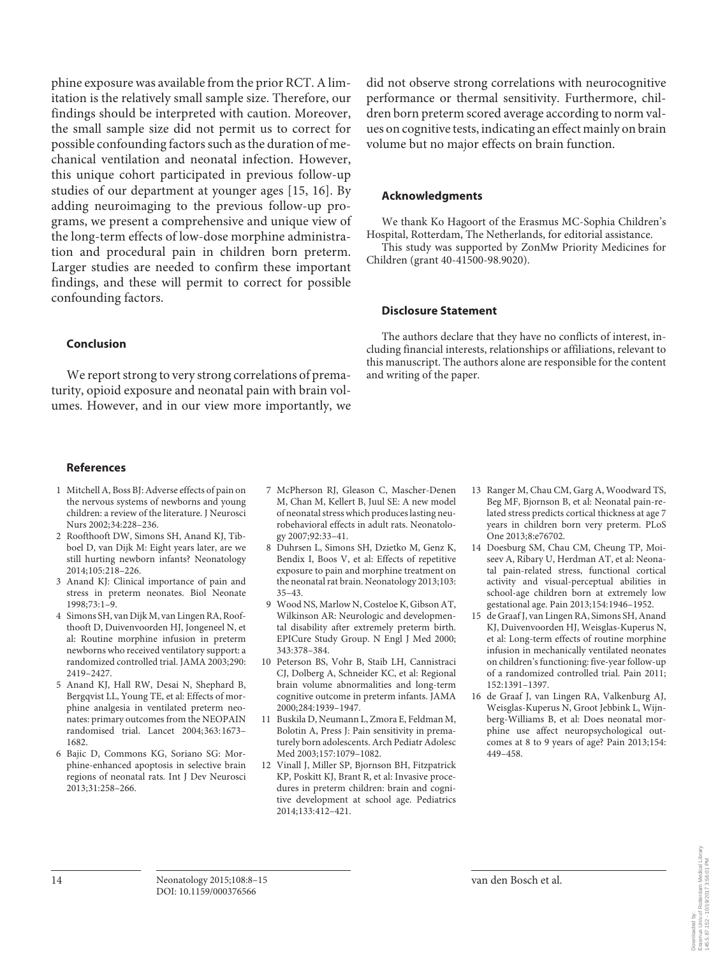phine exposure was available from the prior RCT. A limitation is the relatively small sample size. Therefore, our findings should be interpreted with caution. Moreover, the small sample size did not permit us to correct for possible confounding factors such as the duration of mechanical ventilation and neonatal infection. However, this unique cohort participated in previous follow-up studies of our department at younger ages [15, 16]. By adding neuroimaging to the previous follow-up programs, we present a comprehensive and unique view of the long-term effects of low-dose morphine administration and procedural pain in children born preterm. Larger studies are needed to confirm these important findings, and these will permit to correct for possible confounding factors.

#### **Conclusion**

 We report strong to very strong correlations of prematurity, opioid exposure and neonatal pain with brain volumes. However, and in our view more importantly, we did not observe strong correlations with neurocognitive performance or thermal sensitivity. Furthermore, children born preterm scored average according to norm values on cognitive tests, indicating an effect mainly on brain volume but no major effects on brain function.

## **Acknowledgments**

 We thank Ko Hagoort of the Erasmus MC-Sophia Children's Hospital, Rotterdam, The Netherlands, for editorial assistance.

 This study was supported by ZonMw Priority Medicines for Children (grant 40-41500-98.9020).

#### **Disclosure Statement**

 The authors declare that they have no conflicts of interest, including financial interests, relationships or affiliations, relevant to this manuscript. The authors alone are responsible for the content and writing of the paper.

#### **References**

- 1 Mitchell A, Boss BJ: Adverse effects of pain on the nervous systems of newborns and young children: a review of the literature. J Neurosci Nurs 2002;34:228–236.
- 2 Roofthooft DW, Simons SH, Anand KJ, Tibboel D, van Dijk M: Eight years later, are we still hurting newborn infants? Neonatology 2014;105:218–226.
- 3 Anand KJ: Clinical importance of pain and stress in preterm neonates. Biol Neonate 1998;73:1–9.
- 4 Simons SH, van Dijk M, van Lingen RA, Roofthooft D, Duivenvoorden HJ, Jongeneel N, et al: Routine morphine infusion in preterm newborns who received ventilatory support: a randomized controlled trial. JAMA 2003;290: 2419–2427.
- 5 Anand KJ, Hall RW, Desai N, Shephard B, Bergqvist LL, Young TE, et al: Effects of morphine analgesia in ventilated preterm neonates: primary outcomes from the NEOPAIN randomised trial. Lancet 2004; 363: 1673– 1682.
- 6 Bajic D, Commons KG, Soriano SG: Morphine-enhanced apoptosis in selective brain regions of neonatal rats. Int J Dev Neurosci 2013;31:258–266.
- 7 McPherson RJ, Gleason C, Mascher-Denen M, Chan M, Kellert B, Juul SE: A new model of neonatal stress which produces lasting neurobehavioral effects in adult rats. Neonatology 2007;92:33–41.
- 8 Duhrsen L, Simons SH, Dzietko M, Genz K, Bendix I, Boos V, et al: Effects of repetitive exposure to pain and morphine treatment on the neonatal rat brain. Neonatology 2013;103: 35–43.
- 9 Wood NS, Marlow N, Costeloe K, Gibson AT, Wilkinson AR: Neurologic and developmental disability after extremely preterm birth. EPICure Study Group. N Engl J Med 2000; 343:378–384.
- 10 Peterson BS, Vohr B, Staib LH, Cannistraci CJ, Dolberg A, Schneider KC, et al: Regional brain volume abnormalities and long-term cognitive outcome in preterm infants. JAMA 2000;284:1939–1947.
- 11 Buskila D, Neumann L, Zmora E, Feldman M, Bolotin A, Press J: Pain sensitivity in prematurely born adolescents. Arch Pediatr Adolesc Med 2003;157:1079–1082.
- 12 Vinall J, Miller SP, Bjornson BH, Fitzpatrick KP, Poskitt KJ, Brant R, et al: Invasive procedures in preterm children: brain and cognitive development at school age. Pediatrics 2014;133:412–421.
- 13 Ranger M, Chau CM, Garg A, Woodward TS, Beg MF, Bjornson B, et al: Neonatal pain-related stress predicts cortical thickness at age 7 years in children born very preterm. PLoS One 2013;8:e76702.
- 14 Doesburg SM, Chau CM, Cheung TP, Moiseev A, Ribary U, Herdman AT, et al: Neonatal pain-related stress, functional cortical activity and visual-perceptual abilities in school-age children born at extremely low gestational age. Pain 2013;154:1946–1952.
- 15 de Graaf J, van Lingen RA, Simons SH, Anand KJ, Duivenvoorden HJ, Weisglas-Kuperus N, et al: Long-term effects of routine morphine infusion in mechanically ventilated neonates on children's functioning: five-year follow-up of a randomized controlled trial. Pain 2011; 152:1391–1397.
- 16 de Graaf J, van Lingen RA, Valkenburg AJ, Weisglas-Kuperus N, Groot Jebbink L, Wijnberg-Williams B, et al: Does neonatal morphine use affect neuropsychological outcomes at 8 to 9 years of age? Pain 2013;154: 449–458.